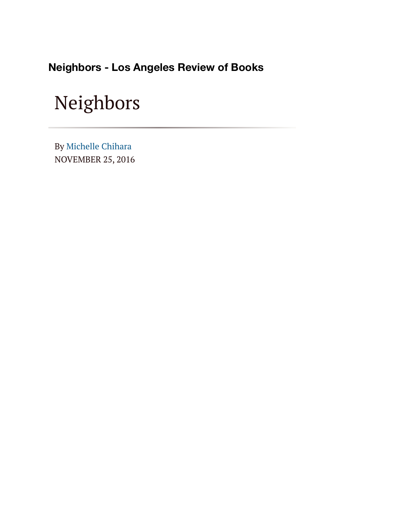**Neighbors - Los Angeles Review of Books**

## Neighbors

NOVEMBER 25, 2016 By [Michelle Chihara](https://lareviewofbooks.org/contributor/michelle-chihara)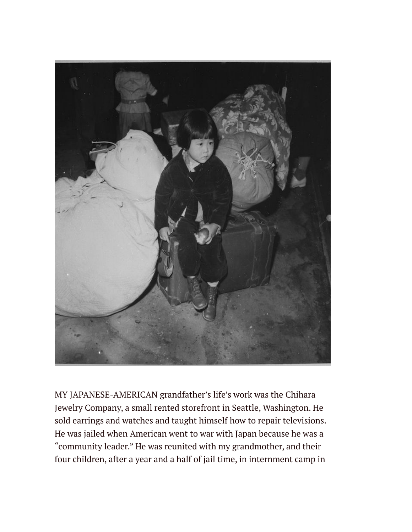

MY JAPANESE-AMERICAN grandfather's life's work was the Chihara Jewelry Company, a small rented storefront in Seattle, Washington. He sold earrings and watches and taught himself how to repair televisions. He was jailed when American went to war with Japan because he was a "community leader." He was reunited with my grandmother, and their four children, after a year and a half of jail time, in internment camp in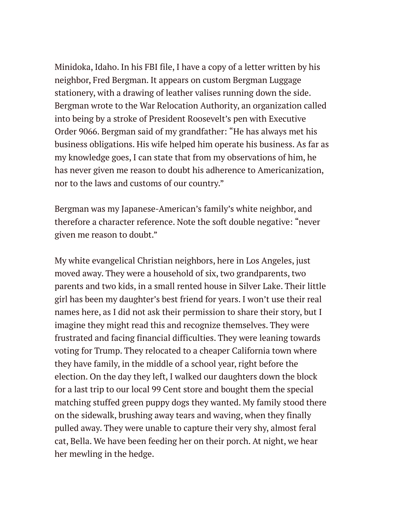Minidoka, Idaho. In his FBI file, I have a copy of a letter written by his neighbor, Fred Bergman. It appears on custom Bergman Luggage stationery, with a drawing of leather valises running down the side. Bergman wrote to the War Relocation Authority, an organization called into being by a stroke of President Roosevelt's pen with Executive Order 9066. Bergman said of my grandfather: "He has always met his business obligations. His wife helped him operate his business. As far as my knowledge goes, I can state that from my observations of him, he has never given me reason to doubt his adherence to Americanization, nor to the laws and customs of our country."

Bergman was my Japanese-American's family's white neighbor, and therefore a character reference. Note the soft double negative: "never given me reason to doubt."

My white evangelical Christian neighbors, here in Los Angeles, just moved away. They were a household of six, two grandparents, two parents and two kids, in a small rented house in Silver Lake. Their little girl has been my daughter's best friend for years. I won't use their real names here, as I did not ask their permission to share their story, but I imagine they might read this and recognize themselves. They were frustrated and facing financial difficulties. They were leaning towards voting for Trump. They relocated to a cheaper California town where they have family, in the middle of a school year, right before the election. On the day they left, I walked our daughters down the block for a last trip to our local 99 Cent store and bought them the special matching stuffed green puppy dogs they wanted. My family stood there on the sidewalk, brushing away tears and waving, when they finally pulled away. They were unable to capture their very shy, almost feral cat, Bella. We have been feeding her on their porch. At night, we hear her mewling in the hedge.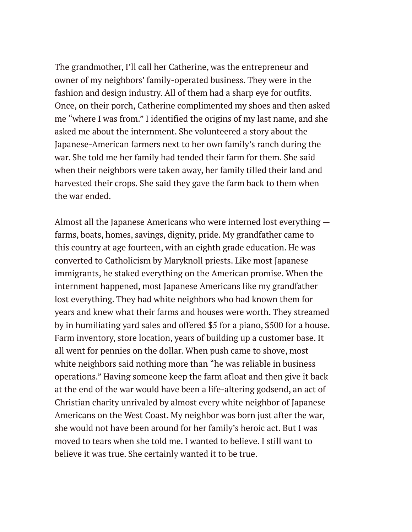The grandmother, I'll call her Catherine, was the entrepreneur and owner of my neighbors' family-operated business. They were in the fashion and design industry. All of them had a sharp eye for outfits. Once, on their porch, Catherine complimented my shoes and then asked me "where I was from." I identified the origins of my last name, and she asked me about the internment. She volunteered a story about the Japanese-American farmers next to her own family's ranch during the war. She told me her family had tended their farm for them. She said when their neighbors were taken away, her family tilled their land and harvested their crops. She said they gave the farm back to them when the war ended.

Almost all the Japanese Americans who were interned lost everything farms, boats, homes, savings, dignity, pride. My grandfather came to this country at age fourteen, with an eighth grade education. He was converted to Catholicism by Maryknoll priests. Like most Japanese immigrants, he staked everything on the American promise. When the internment happened, most Japanese Americans like my grandfather lost everything. They had white neighbors who had known them for years and knew what their farms and houses were worth. They streamed by in humiliating yard sales and offered \$5 for a piano, \$500 for a house. Farm inventory, store location, years of building up a customer base. It all went for pennies on the dollar. When push came to shove, most white neighbors said nothing more than "he was reliable in business operations." Having someone keep the farm afloat and then give it back at the end of the war would have been a life-altering godsend, an act of Christian charity unrivaled by almost every white neighbor of Japanese Americans on the West Coast. My neighbor was born just after the war, she would not have been around for her family's heroic act. But I was moved to tears when she told me. I wanted to believe. I still want to believe it was true. She certainly wanted it to be true.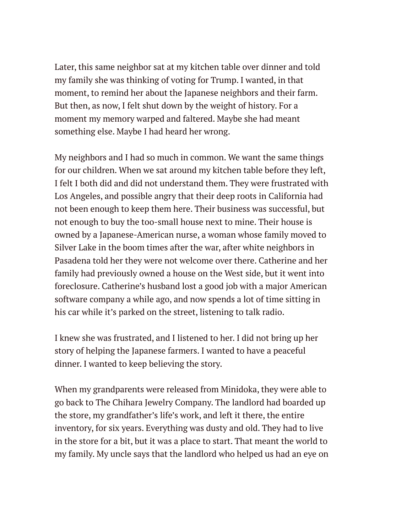Later, this same neighbor sat at my kitchen table over dinner and told my family she was thinking of voting for Trump. I wanted, in that moment, to remind her about the Japanese neighbors and their farm. But then, as now, I felt shut down by the weight of history. For a moment my memory warped and faltered. Maybe she had meant something else. Maybe I had heard her wrong.

My neighbors and I had so much in common. We want the same things for our children. When we sat around my kitchen table before they left, I felt I both did and did not understand them. They were frustrated with Los Angeles, and possible angry that their deep roots in California had not been enough to keep them here. Their business was successful, but not enough to buy the too-small house next to mine. Their house is owned by a Japanese-American nurse, a woman whose family moved to Silver Lake in the boom times after the war, after white neighbors in Pasadena told her they were not welcome over there. Catherine and her family had previously owned a house on the West side, but it went into foreclosure. Catherine's husband lost a good job with a major American software company a while ago, and now spends a lot of time sitting in his car while it's parked on the street, listening to talk radio.

I knew she was frustrated, and I listened to her. I did not bring up her story of helping the Japanese farmers. I wanted to have a peaceful dinner. I wanted to keep believing the story.

When my grandparents were released from Minidoka, they were able to go back to The Chihara Jewelry Company. The landlord had boarded up the store, my grandfather's life's work, and left it there, the entire inventory, for six years. Everything was dusty and old. They had to live in the store for a bit, but it was a place to start. That meant the world to my family. My uncle says that the landlord who helped us had an eye on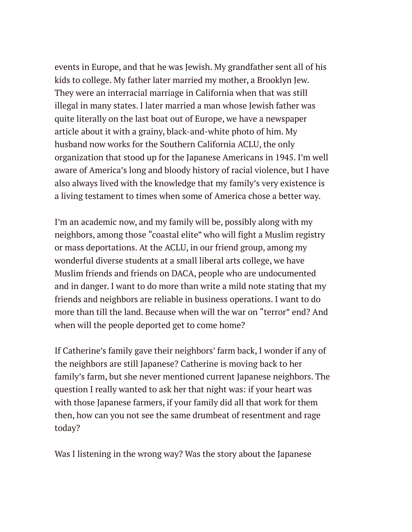events in Europe, and that he was Jewish. My grandfather sent all of his kids to college. My father later married my mother, a Brooklyn Jew. They were an interracial marriage in California when that was still illegal in many states. I later married a man whose Jewish father was quite literally on the last boat out of Europe, we have a newspaper article about it with a grainy, black-and-white photo of him. My husband now works for the Southern California ACLU, the only organization that stood up for the Japanese Americans in 1945. I'm well aware of America's long and bloody history of racial violence, but I have also always lived with the knowledge that my family's very existence is a living testament to times when some of America chose a better way.

I'm an academic now, and my family will be, possibly along with my neighbors, among those "coastal elite" who will fight a Muslim registry or mass deportations. At the ACLU, in our friend group, among my wonderful diverse students at a small liberal arts college, we have Muslim friends and friends on DACA, people who are undocumented and in danger. I want to do more than write a mild note stating that my friends and neighbors are reliable in business operations. I want to do more than till the land. Because when will the war on "terror" end? And when will the people deported get to come home?

If Catherine's family gave their neighbors' farm back, I wonder if any of the neighbors are still Japanese? Catherine is moving back to her family's farm, but she never mentioned current Japanese neighbors. The question I really wanted to ask her that night was: if your heart was with those Japanese farmers, if your family did all that work for them then, how can you not see the same drumbeat of resentment and rage today?

Was I listening in the wrong way? Was the story about the Japanese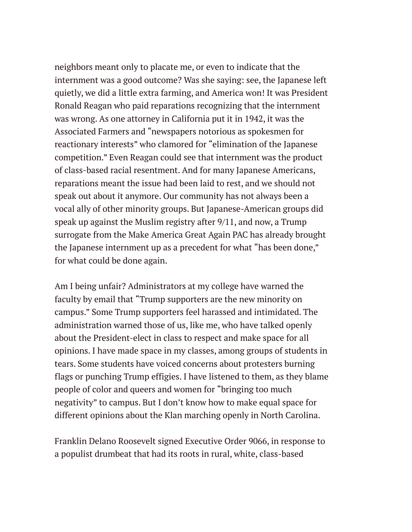neighbors meant only to placate me, or even to indicate that the internment was a good outcome? Was she saying: see, the Japanese left quietly, we did a little extra farming, and America won! It was President Ronald Reagan who paid reparations recognizing that the internment was wrong. As one attorney in California put it in 1942, it was the Associated Farmers and "newspapers notorious as spokesmen for reactionary interests" who clamored for "elimination of the Japanese competition." Even Reagan could see that internment was the product of class-based racial resentment. And for many Japanese Americans, reparations meant the issue had been laid to rest, and we should not speak out about it anymore. Our community has not always been a vocal ally of other minority groups. But Japanese-American groups did speak up against the Muslim registry after 9/11, and now, a Trump surrogate from the Make America Great Again PAC has already brought the Japanese internment up as a precedent for what "has been done," for what could be done again.

Am I being unfair? Administrators at my college have warned the faculty by email that "Trump supporters are the new minority on campus." Some Trump supporters feel harassed and intimidated. The administration warned those of us, like me, who have talked openly about the President-elect in class to respect and make space for all opinions. I have made space in my classes, among groups of students in tears. Some students have voiced concerns about protesters burning flags or punching Trump effigies. I have listened to them, as they blame people of color and queers and women for "bringing too much negativity" to campus. But I don't know how to make equal space for different opinions about the Klan marching openly in North Carolina.

Franklin Delano Roosevelt signed Executive Order 9066, in response to a populist drumbeat that had its roots in rural, white, class-based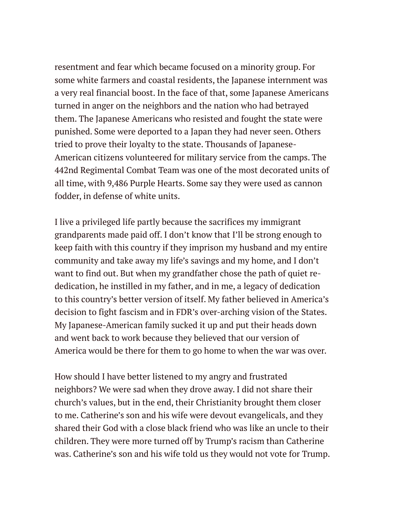resentment and fear which became focused on a minority group. For some white farmers and coastal residents, the Japanese internment was a very real financial boost. In the face of that, some Japanese Americans turned in anger on the neighbors and the nation who had betrayed them. The Japanese Americans who resisted and fought the state were punished. Some were deported to a Japan they had never seen. Others tried to prove their loyalty to the state. Thousands of Japanese-American citizens volunteered for military service from the camps. The 442nd Regimental Combat Team was one of the most decorated units of all time, with 9,486 Purple Hearts. Some say they were used as cannon fodder, in defense of white units.

I live a privileged life partly because the sacrifices my immigrant grandparents made paid off. I don't know that I'll be strong enough to keep faith with this country if they imprison my husband and my entire community and take away my life's savings and my home, and I don't want to find out. But when my grandfather chose the path of quiet rededication, he instilled in my father, and in me, a legacy of dedication to this country's better version of itself. My father believed in America's decision to fight fascism and in FDR's over-arching vision of the States. My Japanese-American family sucked it up and put their heads down and went back to work because they believed that our version of America would be there for them to go home to when the war was over.

How should I have better listened to my angry and frustrated neighbors? We were sad when they drove away. I did not share their church's values, but in the end, their Christianity brought them closer to me. Catherine's son and his wife were devout evangelicals, and they shared their God with a close black friend who was like an uncle to their children. They were more turned off by Trump's racism than Catherine was. Catherine's son and his wife told us they would not vote for Trump.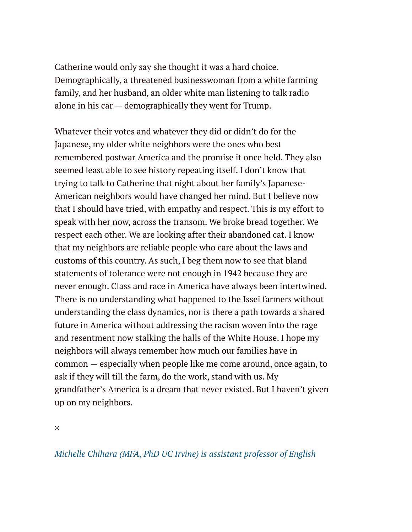Catherine would only say she thought it was a hard choice. Demographically, a threatened businesswoman from a white farming family, and her husband, an older white man listening to talk radio alone in his car — demographically they went for Trump.

Whatever their votes and whatever they did or didn't do for the Japanese, my older white neighbors were the ones who best remembered postwar America and the promise it once held. They also seemed least able to see history repeating itself. I don't know that trying to talk to Catherine that night about her family's Japanese-American neighbors would have changed her mind. But I believe now that I should have tried, with empathy and respect. This is my effort to speak with her now, across the transom. We broke bread together. We respect each other. We are looking after their abandoned cat. I know that my neighbors are reliable people who care about the laws and customs of this country. As such, I beg them now to see that bland statements of tolerance were not enough in 1942 because they are never enough. Class and race in America have always been intertwined. There is no understanding what happened to the Issei farmers without understanding the class dynamics, nor is there a path towards a shared future in America without addressing the racism woven into the rage and resentment now stalking the halls of the White House. I hope my neighbors will always remember how much our families have in common — especially when people like me come around, once again, to ask if they will till the farm, do the work, stand with us. My grandfather's America is a dream that never existed. But I haven't given up on my neighbors.

¤

*[Michelle Chihara \(MFA, PhD UC Irvine\) is assistant professor of English](https://lareviewofbooks.org/contributor/michelle-chihara/)*